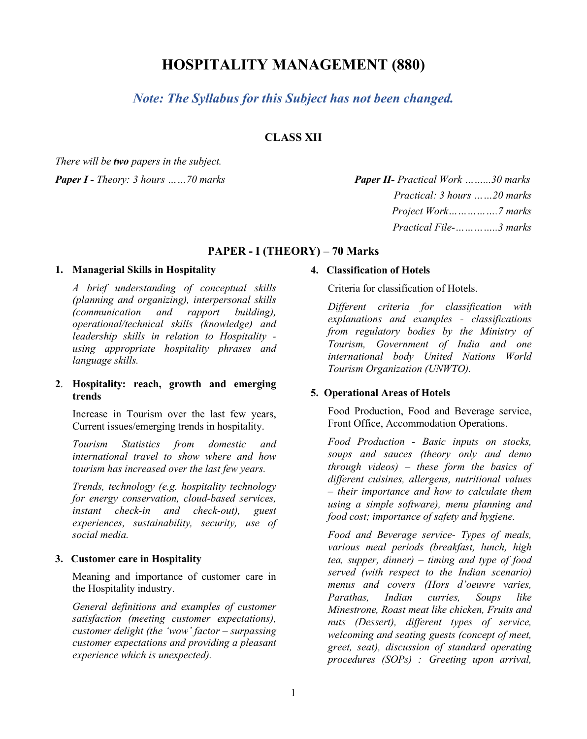# **HOSPITALITY MANAGEMENT (880)**

## *Note: The Syllabus for this Subject has not been changed.*

## **CLASS XII**

*There will be two papers in the subject.*

## *Paper I - Theory: 3 hours ……70 marks Paper II- Practical Work ……...30 marks Practical: 3 hours ……20 marks Project Work…………….7 marks Practical File-…………..3 marks*

## **PAPER - I (THEORY) – 70 Marks**

## **1. Managerial Skills in Hospitality**

*A brief understanding of conceptual skills (planning and organizing), interpersonal skills (communication and rapport building), operational/technical skills (knowledge) and leadership skills in relation to Hospitality using appropriate hospitality phrases and language skills.*

## **2**. **Hospitality: reach, growth and emerging trends**

Increase in Tourism over the last few years, Current issues/emerging trends in hospitality.

*Tourism Statistics from domestic and international travel to show where and how tourism has increased over the last few years.*

*Trends, technology (e.g. hospitality technology for energy conservation, cloud-based services, instant check-in and check-out), guest experiences, sustainability, security, use of social media.*

## **3. Customer care in Hospitality**

Meaning and importance of customer care in the Hospitality industry.

*General definitions and examples of customer satisfaction (meeting customer expectations), customer delight (the 'wow' factor – surpassing customer expectations and providing a pleasant experience which is unexpected).*

#### **4. Classification of Hotels**

Criteria for classification of Hotels.

*Different criteria for classification with explanations and examples - classifications from regulatory bodies by the Ministry of Tourism, Government of India and one international body United Nations World Tourism Organization (UNWTO).*

## **5. Operational Areas of Hotels**

Food Production, Food and Beverage service, Front Office, Accommodation Operations.

*Food Production - Basic inputs on stocks, soups and sauces (theory only and demo through videos) – these form the basics of different cuisines, allergens, nutritional values – their importance and how to calculate them using a simple software), menu planning and food cost; importance of safety and hygiene.* 

*Food and Beverage service- Types of meals, various meal periods (breakfast, lunch, high tea, supper, dinner) – timing and type of food served (with respect to the Indian scenario) menus and covers (Hors d'oeuvre varies, Parathas, Indian curries, Soups like Minestrone, Roast meat like chicken, Fruits and nuts (Dessert), different types of service, welcoming and seating guests (concept of meet, greet, seat), discussion of standard operating procedures (SOPs) : Greeting upon arrival,*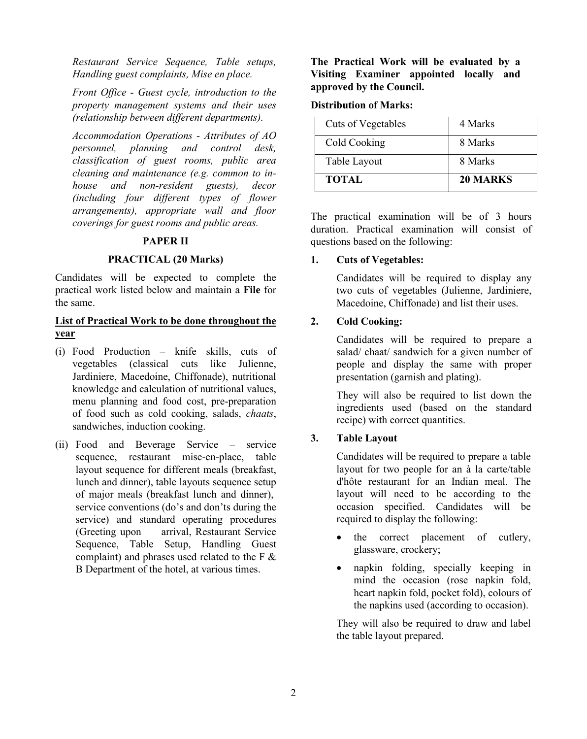*Restaurant Service Sequence, Table setups, Handling guest complaints, Mise en place.*

*Front Office - Guest cycle, introduction to the property management systems and their uses (relationship between different departments).*

*Accommodation Operations - Attributes of AO personnel, planning and control desk, classification of guest rooms, public area cleaning and maintenance (e.g. common to inhouse and non-resident guests), decor (including four different types of flower arrangements), appropriate wall and floor coverings for guest rooms and public areas.* 

#### **PAPER II**

#### **PRACTICAL (20 Marks)**

Candidates will be expected to complete the practical work listed below and maintain a **File** for the same.

## **List of Practical Work to be done throughout the year**

- (i) Food Production knife skills, cuts of vegetables (classical cuts like Julienne, Jardiniere, Macedoine, Chiffonade), nutritional knowledge and calculation of nutritional values, menu planning and food cost, pre-preparation of food such as cold cooking, salads, *chaats*, sandwiches, induction cooking.
- (ii) Food and Beverage Service service sequence, restaurant mise-en-place, table layout sequence for different meals (breakfast, lunch and dinner), table layouts sequence setup of major meals (breakfast lunch and dinner), service conventions (do's and don'ts during the service) and standard operating procedures (Greeting upon arrival, Restaurant Service Sequence, Table Setup, Handling Guest complaint) and phrases used related to the F & B Department of the hotel, at various times.

**The Practical Work will be evaluated by a Visiting Examiner appointed locally and approved by the Council.**

#### **Distribution of Marks:**

| Cuts of Vegetables | 4 Marks  |
|--------------------|----------|
| Cold Cooking       | 8 Marks  |
| Table Layout       | 8 Marks  |
| <b>TOTAL</b>       | 20 MARKS |

The practical examination will be of 3 hours duration. Practical examination will consist of questions based on the following:

#### **1. Cuts of Vegetables:**

 Candidates will be required to display any two cuts of vegetables (Julienne, Jardiniere, Macedoine, Chiffonade) and list their uses.

#### **2. Cold Cooking:**

 Candidates will be required to prepare a salad/ chaat/ sandwich for a given number of people and display the same with proper presentation (garnish and plating).

They will also be required to list down the ingredients used (based on the standard recipe) with correct quantities.

## **3. Table Layout**

Candidates will be required to prepare a table layout for two people for an à la carte/table d'hôte restaurant for an Indian meal. The layout will need to be according to the occasion specified. Candidates will be required to display the following:

- the correct placement of cutlery, glassware, crockery;
- napkin folding, specially keeping in mind the occasion (rose napkin fold, heart napkin fold, pocket fold), colours of the napkins used (according to occasion).

They will also be required to draw and label the table layout prepared.